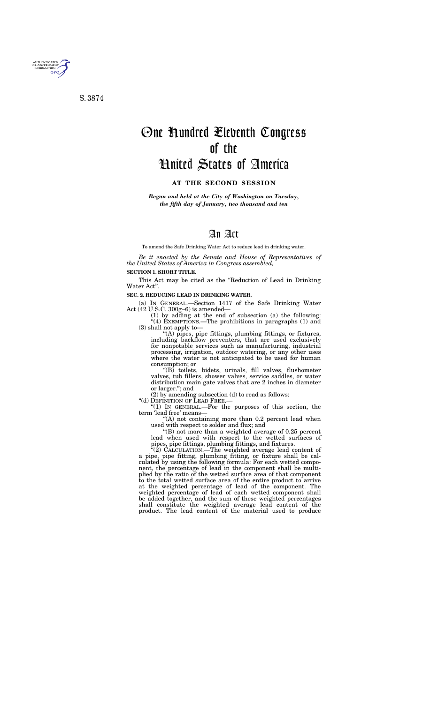## An Act

To amend the Safe Drinking Water Act to reduce lead in drinking water.

*Be it enacted by the Senate and House of Representatives of the United States of America in Congress assembled,* 

## **SECTION 1. SHORT TITLE.**

This Act may be cited as the "Reduction of Lead in Drinking" Water Act''.

## **SEC. 2. REDUCING LEAD IN DRINKING WATER.**

(a) IN GENERAL.—Section 1417 of the Safe Drinking Water Act (42 U.S.C. 300g–6) is amended—

(1) by adding at the end of subsection (a) the following: "(4) EXEMPTIONS.—The prohibitions in paragraphs  $(1)$  and (3) shall not apply to—

''(A) pipes, pipe fittings, plumbing fittings, or fixtures, including backflow preventers, that are used exclusively for nonpotable services such as manufacturing, industrial processing, irrigation, outdoor watering, or any other uses where the water is not anticipated to be used for human consumption; or

''(B) toilets, bidets, urinals, fill valves, flushometer valves, tub fillers, shower valves, service saddles, or water distribution main gate valves that are 2 inches in diameter or larger.''; and

(2) by amending subsection (d) to read as follows:

''(d) DEFINITION OF LEAD FREE.—

"(1) In GENERAL.—For the purposes of this section, the term 'lead free' means—

"(A) not containing more than 0.2 percent lead when used with respect to solder and flux; and

''(B) not more than a weighted average of 0.25 percent lead when used with respect to the wetted surfaces of pipes, pipe fittings, plumbing fittings, and fixtures.

 $\sqrt{2}$ ) CALCULATION.—The weighted average lead content of a pipe, pipe fitting, plumbing fitting, or fixture shall be calculated by using the following formula: For each wetted component, the percentage of lead in the component shall be multiplied by the ratio of the wetted surface area of that component to the total wetted surface area of the entire product to arrive at the weighted percentage of lead of the component. The weighted percentage of lead of each wetted component shall be added together, and the sum of these weighted percentages shall constitute the weighted average lead content of the product. The lead content of the material used to produce